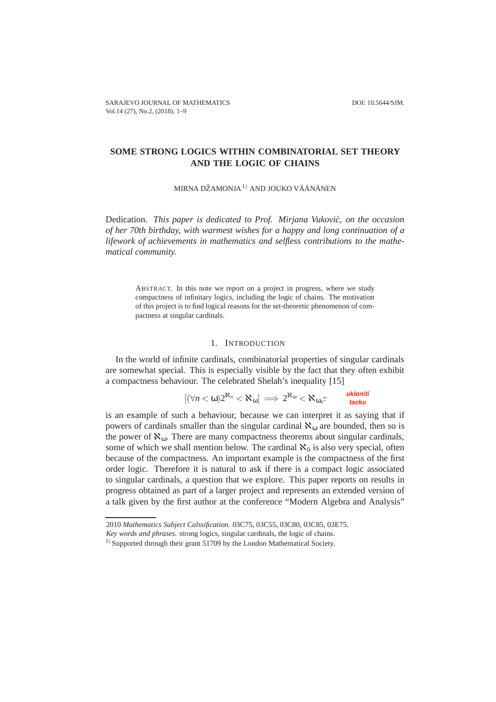# **SOME STRONG LOGICS WITHIN COMBINATORIAL SET THEORY AND THE LOGIC OF CHAINS**

MIRNA DŽAMONJA $^{1)}$  AND JOUKO VÄÄNÄNEN

Dedication. *This paper is dedicated to Prof. Mirjana Vukovic, on the occasion ´ of her 70th birthday, with warmest wishes for a happy and long continuation of a lifework of achievements in mathematics and selfless contributions to the mathematical community.*

ABSTRACT. In this note we report on a project in progress, where we study compactness of infinitary logics, including the logic of chains. The motivation of this project is to find logical reasons for the set-theoretic phenomenon of compactness at singular cardinals.

## 1. INTRODUCTION

In the world of infinite cardinals, combinatorial properties of singular cardinals are somewhat special. This is especially visible by the fact that they often exhibit a compactness behaviour. The celebrated Shelah's inequality [15]

$$
[(\forall n < \omega) 2^{\aleph_n} < \aleph_{\omega}] \implies 2^{\aleph_{\omega}} < \aleph_{\omega_4}.
$$
ukloniti

is an example of such a behaviour, because we can interpret it as saying that if powers of cardinals smaller than the singular cardinal  $\aleph_{\omega}$  are bounded, then so is the power of  $\aleph_{\omega}$ . There are many compactness theorems about singular cardinals, some of which we shall mention below. The cardinal  $\mathbf{x}_0$  is also very special, often because of the compactness. An important example is the compactness of the first order logic. Therefore it is natural to ask if there is a compact logic associated to singular cardinals, a question that we explore. This paper reports on results in progress obtained as part of a larger project and represents an extended version of a talk given by the first author at the conference "Modern Algebra and Analysis"

<sup>2010</sup> *Mathematics Subject Calssification.* 03C75, 03C55, 03C80, 03C85, 03E75.

*Key words and phrases.* strong logics, singular cardinals, the logic of chains.

 $1)$  Supported through their grant 51709 by the London Mathematical Society.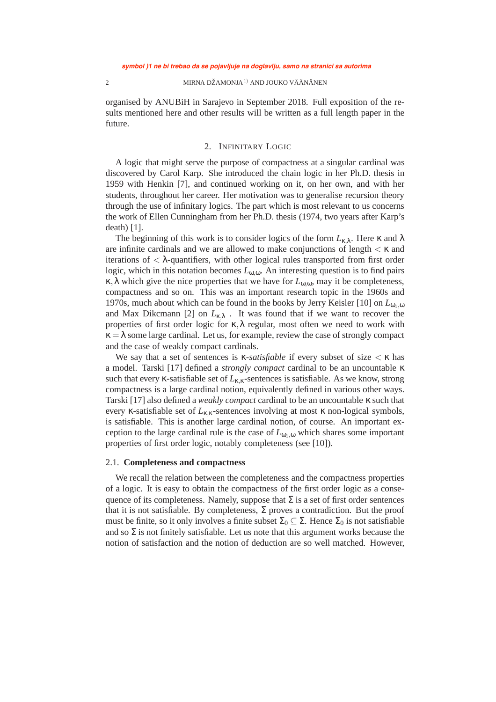#### $2$  MIRNA DŽAMONJA $^{\rm l)}$  AND JOUKO VÄÄNÄNEN  $^{\rm o}$

organised by ANUBiH in Sarajevo in September 2018. Full exposition of the results mentioned here and other results will be written as a full length paper in the future.

## 2. INFINITARY LOGIC

A logic that might serve the purpose of compactness at a singular cardinal was discovered by Carol Karp. She introduced the chain logic in her Ph.D. thesis in 1959 with Henkin [7], and continued working on it, on her own, and with her students, throughout her career. Her motivation was to generalise recursion theory through the use of infinitary logics. The part which is most relevant to us concerns the work of Ellen Cunningham from her Ph.D. thesis (1974, two years after Karp's death) [1].

The beginning of this work is to consider logics of the form  $L_{\kappa\lambda}$ . Here  $\kappa$  and  $\lambda$ are infinite cardinals and we are allowed to make conjunctions of length  $\lt \kappa$  and iterations of  $\langle \lambda$ -quantifiers, with other logical rules transported from first order logic, which in this notation becomes *L*ω,ω. An interesting question is to find pairs κ,λ which give the nice properties that we have for *L*ω,ω, may it be completeness, compactness and so on. This was an important research topic in the 1960s and 1970s, much about which can be found in the books by Jerry Keisler [10] on  $L_{\omega_{1},\omega}$ and Max Dikcmann [2] on  $L_{\kappa,\lambda}$ . It was found that if we want to recover the properties of first order logic for  $\kappa, \lambda$  regular, most often we need to work with  $\kappa = \lambda$  some large cardinal. Let us, for example, review the case of strongly compact and the case of weakly compact cardinals.

We say that a set of sentences is  $\kappa$ -*satisfiable* if every subset of size  $\lt \kappa$  has a model. Tarski [17] defined a *strongly compact* cardinal to be an uncountable κ such that every  $\kappa$ -satisfiable set of  $L_{\kappa,\kappa}$ -sentences is satisfiable. As we know, strong compactness is a large cardinal notion, equivalently defined in various other ways. Tarski [17] also defined a *weakly compact* cardinal to be an uncountable κ such that every *κ*-satisfiable set of  $L_{\kappa,\kappa}$ -sentences involving at most  $\kappa$  non-logical symbols, is satisfiable. This is another large cardinal notion, of course. An important exception to the large cardinal rule is the case of  $L_{\omega_{1},\omega}$  which shares some important properties of first order logic, notably completeness (see [10]).

#### 2.1. **Completeness and compactness**

We recall the relation between the completeness and the compactness properties of a logic. It is easy to obtain the compactness of the first order logic as a consequence of its completeness. Namely, suppose that  $\Sigma$  is a set of first order sentences that it is not satisfiable. By completeness,  $\Sigma$  proves a contradiction. But the proof must be finite, so it only involves a finite subset  $\Sigma_0 \subseteq \Sigma$ . Hence  $\Sigma_0$  is not satisfiable and so  $\Sigma$  is not finitely satisfiable. Let us note that this argument works because the notion of satisfaction and the notion of deduction are so well matched. However,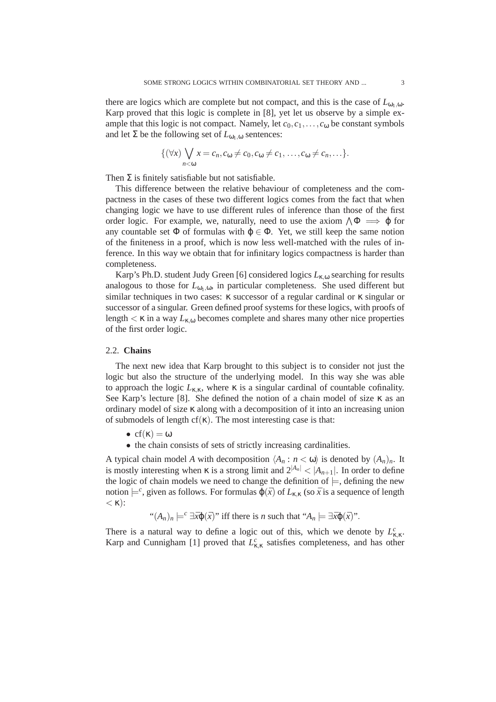there are logics which are complete but not compact, and this is the case of  $L_{\omega_1,\omega}$ . Karp proved that this logic is complete in [8], yet let us observe by a simple example that this logic is not compact. Namely, let  $c_0, c_1, \ldots, c_0$  be constant symbols and let  $\Sigma$  be the following set of  $L_{\omega_1,\omega}$  sentences:

$$
\{(\forall x)\bigvee_{n<\omega}x=c_n,c_\omega\neq c_0,c_\omega\neq c_1,\ldots,c_\omega\neq c_n,\ldots\}.
$$

Then  $\Sigma$  is finitely satisfiable but not satisfiable.

This difference between the relative behaviour of completeness and the compactness in the cases of these two different logics comes from the fact that when changing logic we have to use different rules of inference than those of the first order logic. For example, we, naturally, need to use the axiom  $\wedge \Phi \implies \phi$  for any countable set  $\Phi$  of formulas with  $\varphi \in \Phi$ . Yet, we still keep the same notion of the finiteness in a proof, which is now less well-matched with the rules of inference. In this way we obtain that for infinitary logics compactness is harder than completeness.

Karp's Ph.D. student Judy Green [6] considered logics *L*κ,<sup>ω</sup> searching for results analogous to those for  $L_{\omega_1,\omega}$ , in particular completeness. She used different but similar techniques in two cases:  $\kappa$  successor of a regular cardinal or  $\kappa$  singular or successor of a singular. Green defined proof systems for these logics, with proofs of length  $\lt$   $\kappa$  in a way  $L_{\kappa, \omega}$  becomes complete and shares many other nice properties of the first order logic.

## 2.2. **Chains**

The next new idea that Karp brought to this subject is to consider not just the logic but also the structure of the underlying model. In this way she was able to approach the logic  $L_{\kappa,\kappa}$ , where  $\kappa$  is a singular cardinal of countable cofinality. See Karp's lecture [8]. She defined the notion of a chain model of size  $\kappa$  as an ordinary model of size κ along with a decomposition of it into an increasing union of submodels of length cf( $\kappa$ ). The most interesting case is that:

- $cf(\kappa) = \omega$
- the chain consists of sets of strictly increasing cardinalities.

A typical chain model *A* with decomposition  $\langle A_n : n \langle \omega \rangle$  is denoted by  $(A_n)_n$ . It is mostly interesting when  $\kappa$  is a strong limit and  $2^{|A_n|} < |A_{n+1}|$ . In order to define the logic of chain models we need to change the definition of  $\models$ , defining the new notion  $\models^c$ , given as follows. For formulas  $\varphi(\bar{x})$  of  $L_{\kappa,\kappa}$  (so  $\bar{x}$  is a sequence of length  $<\kappa$ ):

 $f''(A_n)_n \models^c \exists \bar{x} \varphi(\bar{x})$ " iff there is *n* such that " $A_n \models \exists \bar{x} \varphi(\bar{x})$ ".

There is a natural way to define a logic out of this, which we denote by  $L_{\kappa,\kappa}^c$ . Karp and Cunnigham [1] proved that  $L_{\kappa,\kappa}^c$  satisfies completeness, and has other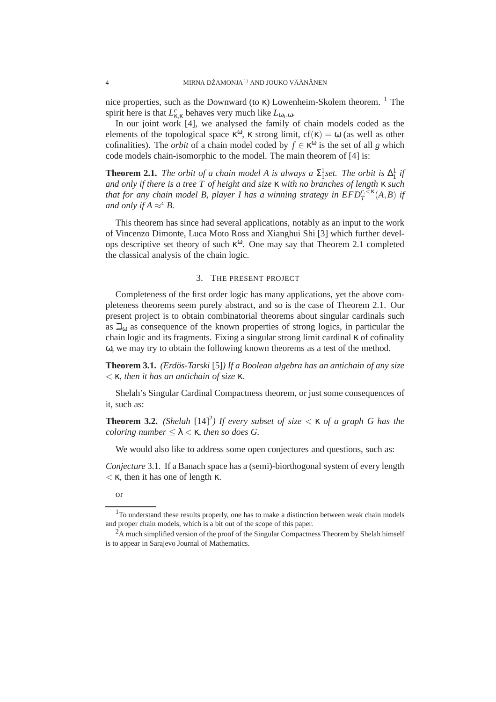nice properties, such as the Downward (to κ) Lowenheim-Skolem theorem. <sup>1</sup> The spirit here is that  $L_{\kappa,\kappa}^c$  behaves very much like  $L_{\omega_1,\omega}$ .

In our joint work [4], we analysed the family of chain models coded as the elements of the topological space  $\kappa^{\omega}$ ,  $\kappa$  strong limit,  $cf(\kappa) = \omega$  (as well as other cofinalities). The *orbit* of a chain model coded by  $f \in \kappa^{\omega}$  is the set of all *g* which code models chain-isomorphic to the model. The main theorem of [4] is:

**Theorem 2.1.** *The orbit of a chain model A is always a*  $\Sigma_1^1$ *set. The orbit is*  $\Delta_1^1$  *if and only if there is a tree T of height and size* κ *with no branches of length* κ *such that for any chain model B, player I has a winning strategy in*  $EFD_T^{c,<\kappa}(A,B)$  *if and only if*  $A \approx^c B$ *.* 

This theorem has since had several applications, notably as an input to the work of Vincenzo Dimonte, Luca Moto Ross and Xianghui Shi [3] which further develops descriptive set theory of such κ <sup>ω</sup>. One may say that Theorem 2.1 completed the classical analysis of the chain logic.

## 3. THE PRESENT PROJECT

Completeness of the first order logic has many applications, yet the above completeness theorems seem purely abstract, and so is the case of Theorem 2.1. Our present project is to obtain combinatorial theorems about singular cardinals such as  $\Box_{0}$  as consequence of the known properties of strong logics, in particular the chain logic and its fragments. Fixing a singular strong limit cardinal κ of cofinality ω, we may try to obtain the following known theorems as a test of the method.

**Theorem 3.1.** *(Erdos-Tarski ¨* [5]*) If a Boolean algebra has an antichain of any size* < κ*, then it has an antichain of size* κ*.*

Shelah's Singular Cardinal Compactness theorem, or just some consequences of it, such as:

**Theorem 3.2.** *(Shelah*  $[14]^{2}$ *) If every subset of size*  $\lt$   $\lt$  *x of a graph G has the coloring number*  $\leq \lambda \leq \kappa$ *, then so does G.* 

We would also like to address some open conjectures and questions, such as:

*Conjecture* 3.1. If a Banach space has a (semi)-biorthogonal system of every length  $\langle \kappa \rangle$ , then it has one of length  $\kappa$ .

or

<sup>&</sup>lt;sup>1</sup>To understand these results properly, one has to make a distinction between weak chain models and proper chain models, which is a bit out of the scope of this paper.

 ${}^{2}$ A much simplified version of the proof of the Singular Compactness Theorem by Shelah himself is to appear in Sarajevo Journal of Mathematics.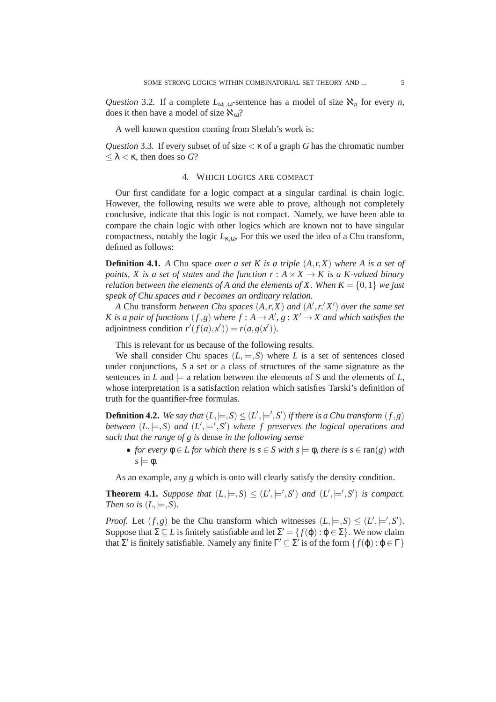*Question* 3.2. If a complete  $L_{\omega_1,\omega}$ -sentence has a model of size  $\aleph_n$  for every *n*, does it then have a model of size  $\aleph_{\omega}$ ?

A well known question coming from Shelah's work is:

*Question* 3.3. If every subset of of size  $\lt$   $\kappa$  of a graph *G* has the chromatic number ≤ λ < κ, then does so *G*?

## 4. WHICH LOGICS ARE COMPACT

Our first candidate for a logic compact at a singular cardinal is chain logic. However, the following results we were able to prove, although not completely conclusive, indicate that this logic is not compact. Namely, we have been able to compare the chain logic with other logics which are known not to have singular compactness, notably the logic  $L_{\kappa, \omega}$ . For this we used the idea of a Chu transform, defined as follows:

**Definition 4.1.** *A* Chu space *over a set K is a triple* (*A*,*r*,*X*) *where A is a set of points, X is a set of states and the function*  $r : A \times X \rightarrow K$  *is a K-valued binary relation between the elements of A and the elements of X. When*  $K = \{0, 1\}$  *we just speak of Chu spaces and r becomes an ordinary relation.*

*A* Chu transform *between Chu spaces* (*A*,*r*,*X*) *and* (*A* ′ ,*r*, ′ *X* ′ ) *over the same set K* is a pair of functions  $(f, g)$  where  $f : A \rightarrow A', g : X' \rightarrow X$  and which satisfies the adjointness condition  $r'(f(a), x') = r(a, g(x'))$ .

This is relevant for us because of the following results.

We shall consider Chu spaces  $(L, \models, S)$  where *L* is a set of sentences closed under conjunctions, *S* a set or a class of structures of the same signature as the sentences in  $L$  and  $\models$  a relation between the elements of  $S$  and the elements of  $L$ , whose interpretation is a satisfaction relation which satisfies Tarski's definition of truth for the quantifier-free formulas.

**Definition 4.2.** We say that  $(L, \models, S) \leq (L', \models', S')$  if there is a Chu transform  $(f, g)$ *between*  $(L, \models, S)$  *and*  $(L', \models', S')$  *where f preserves the logical operations and such that the range of g is* dense *in the following sense*

• *for every*  $\phi \in L$  *for which there is*  $s \in S$  *with*  $s \models \phi$ *, there is*  $s \in \text{ran}(g)$  *with*  $s \models \phi$ .

As an example, any *g* which is onto will clearly satisfy the density condition.

**Theorem 4.1.** *Suppose that*  $(L, \models, S) \leq (L', \models', S')$  *and*  $(L', \models', S')$  *is compact. Then so is*  $(L, \models, S)$ *.* 

*Proof.* Let  $(f, g)$  be the Chu transform which witnesses  $(L, \models, S) \leq (L', \models', S')$ . Suppose that  $\Sigma \subseteq L$  is finitely satisfiable and let  $\Sigma' = \{f(\varphi) : \varphi \in \Sigma\}$ . We now claim that  $\Sigma'$  is finitely satisfiable. Namely any finite  $\Gamma' \subseteq \Sigma'$  is of the form  $\{f(\varphi) : \varphi \in \Gamma\}$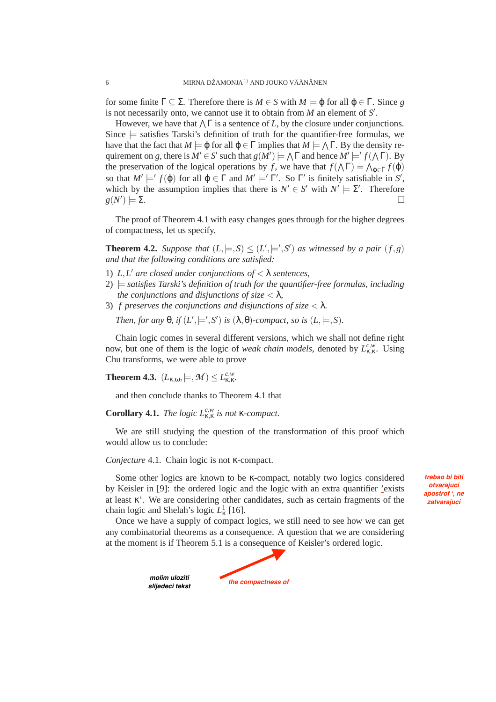for some finite Γ ⊂ Σ. Therefore there is  $M \in S$  with  $M \models \varphi$  for all  $\varphi \in \Gamma$ . Since *g* is not necessarily onto, we cannot use it to obtain from  $M$  an element of  $S'$ .

However, we have that  $\bigwedge \Gamma$  is a sentence of *L*, by the closure under conjunctions. Since  $\equiv$  satisfies Tarski's definition of truth for the quantifier-free formulas, we have that the fact that  $M \models \varphi$  for all  $\varphi \in \Gamma$  implies that  $M \models \bigwedge \Gamma$ . By the density requirement on *g*, there is  $M' \in S'$  such that  $g(M') \models \bigwedge \Gamma$  and hence  $M' \models' f(\bigwedge \Gamma)$ . By the preservation of the logical operations by *f*, we have that  $f(\Lambda \Gamma) = \Lambda_{\varphi \in \Gamma} f(\varphi)$ so that  $M' \models' f(\varphi)$  for all  $\varphi \in \Gamma$  and  $M' \models' \Gamma'$ . So  $\Gamma'$  is finitely satisfiable in S', which by the assumption implies that there is  $N' \in S'$  with  $N' \models \Sigma'$ . Therefore *g*(*N* ′  $) \models \Sigma.$ 

The proof of Theorem 4.1 with easy changes goes through for the higher degrees of compactness, let us specify.

**Theorem 4.2.** *Suppose that*  $(L, \models, S) \leq (L', \models', S')$  *as witnessed by a pair*  $(f, g)$ *and that the following conditions are satisfied:*

- 1) *L*,*L* ′ *are closed under conjunctions of* < λ *sentences,*
- $2)$   $\models$  *satisfies Tarski's definition of truth for the quantifier-free formulas, including the conjunctions and disjunctions of size*  $\langle \lambda, \rangle$
- 3) *f preserves the conjunctions and disjunctions of size* < λ*.*

*Then, for any*  $\theta$ *, if*  $(L', \models', S')$  *is*  $(\lambda, \theta)$ *-compact, so is*  $(L, \models, S)$ *.* 

Chain logic comes in several different versions, which we shall not define right now, but one of them is the logic of *weak chain models*, denoted by  $L_{\kappa,\kappa}^{c,w}$ . Using Chu transforms, we were able to prove

**Theorem 4.3.**  $(L_{\kappa,\omega}, \models, \mathcal{M}) \leq L_{\kappa,\kappa}^{c,w}$ .

*molim uloziti slijedeci tekst*

and then conclude thanks to Theorem 4.1 that

**Corollary 4.1.** *The logic*  $L_{\kappa,\kappa}^{c,w}$  *is not*  $\kappa$ -compact.

We are still studying the question of the transformation of this proof which would allow us to conclude:

*Conjecture* 4.1*.* Chain logic is not κ-compact.

Some other logics are known to be κ-compact, notably two logics considered by Keisler in [9]: the ordered logic and the logic with an extra quantifier 'exists at least κ'. We are considering other candidates, such as certain fragments of the chain logic and Shelah's logic  $L^1_{\kappa}$  [16].

*trebao bi biti otvarajuci apostrof ', ne zatvarajuci*

Once we have a supply of compact logics, we still need to see how we can get any combinatorial theorems as a consequence. A question that we are considering at the moment is if Theorem 5.1 is a consequence of Keisler's ordered logic.

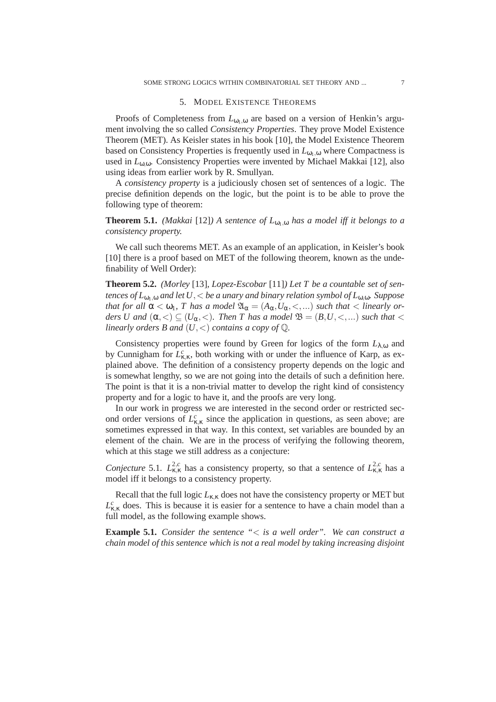#### 5. MODEL EXISTENCE THEOREMS

Proofs of Completeness from  $L_{\omega_1,\omega}$  are based on a version of Henkin's argument involving the so called *Consistency Properties*. They prove Model Existence Theorem (MET). As Keisler states in his book [10], the Model Existence Theorem based on Consistency Properties is frequently used in  $L_{01,0}$  where Compactness is used in *L*<sub>0,0</sub>. Consistency Properties were invented by Michael Makkai [12], also using ideas from earlier work by R. Smullyan.

A *consistency property* is a judiciously chosen set of sentences of a logic. The precise definition depends on the logic, but the point is to be able to prove the following type of theorem:

**Theorem 5.1.** *(Makkai* [12]*)* A sentence of  $L_{\omega_{1},\omega}$  has a model iff it belongs to a *consistency property.*

We call such theorems MET. As an example of an application, in Keisler's book [10] there is a proof based on MET of the following theorem, known as the undefinability of Well Order):

**Theorem 5.2.** *(Morley* [13]*, Lopez-Escobar* [11]*) Let T be a countable set of sentences of*  $L_{\omega_1,\omega}$  *and let*  $U$ ,  $\lt$  *be a unary and binary relation symbol of*  $L_{\omega,\omega}$ *. Suppose that for all*  $\alpha < \omega_1$ , *T* has a model  $\mathfrak{A}_{\alpha} = (A_{\alpha}, U_{\alpha}, <, \dots)$  such that  $<$  linearly or*ders U and*  $(\alpha, <) \subseteq (U_{\alpha}, <)$ *. Then T has a model*  $\mathfrak{B} = (B, U, <, \ldots)$  *such that*  $<$ *linearly orders B and*  $(U, <)$  *contains a copy of*  $\mathbb{Q}$ *.* 

Consistency properties were found by Green for logics of the form  $L_{\lambda,\omega}$  and by Cunnigham for  $L_{\kappa,\kappa}^c$ , both working with or under the influence of Karp, as explained above. The definition of a consistency property depends on the logic and is somewhat lengthy, so we are not going into the details of such a definition here. The point is that it is a non-trivial matter to develop the right kind of consistency property and for a logic to have it, and the proofs are very long.

In our work in progress we are interested in the second order or restricted second order versions of  $L_{\kappa,\kappa}^c$  since the application in questions, as seen above; are sometimes expressed in that way. In this context, set variables are bounded by an element of the chain. We are in the process of verifying the following theorem, which at this stage we still address as a conjecture:

*Conjecture* 5.1.  $L_{\kappa,\kappa}^{2,c}$  has a consistency property, so that a sentence of  $L_{\kappa,\kappa}^{2,c}$  has a model iff it belongs to a consistency property.

Recall that the full logic  $L_{\kappa,\kappa}$  does not have the consistency property or MET but  $L_{\kappa,\kappa}^c$  does. This is because it is easier for a sentence to have a chain model than a full model, as the following example shows.

**Example 5.1.** *Consider the sentence "*< *is a well order". We can construct a chain model of this sentence which is not a real model by taking increasing disjoint*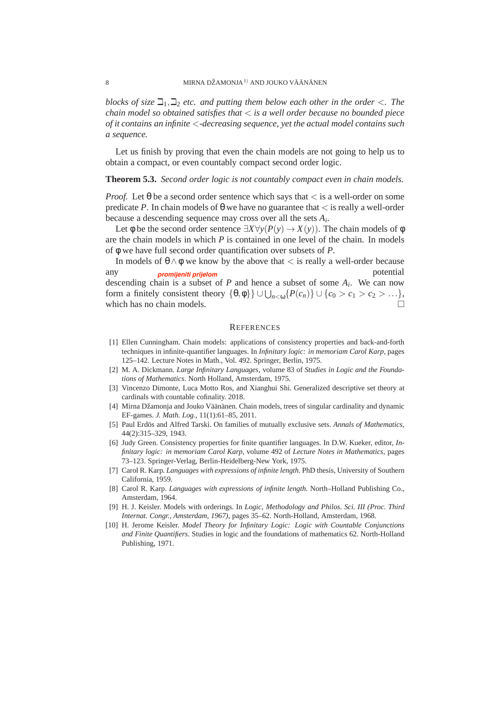*blocks of size*  $\Box_1, \Box_2$  *etc. and putting them below each other in the order*  $\lt$ . The *chain model so obtained satisfies that* < *is a well order because no bounded piece of it contains an infinite* <*-decreasing sequence, yet the actual model contains such a sequence.*

Let us finish by proving that even the chain models are not going to help us to obtain a compact, or even countably compact second order logic.

### **Theorem 5.3.** *Second order logic is not countably compact even in chain models.*

*Proof.* Let  $\theta$  be a second order sentence which says that  $\lt$  is a well-order on some predicate *P*. In chain models of  $\theta$  we have no guarantee that  $\lt$  is really a well-order because a descending sequence may cross over all the sets *A<sup>i</sup>* .

Let  $\phi$  be the second order sentence  $\exists X \forall y (P(y) \rightarrow X(y))$ . The chain models of  $\phi$ are the chain models in which *P* is contained in one level of the chain. In models of φ we have full second order quantification over subsets of *P*.

In models of  $\theta \wedge \phi$  we know by the above that  $\langle$  is really a well-order because any potential *promijeniti prijelom*descending chain is a subset of *P* and hence a subset of some *A<sup>i</sup>* . We can now form a finitely consistent theory  $\{\theta, \phi\}\} \cup \bigcup_{n < \omega} \{P(c_n)\} \cup \{c_0 > c_1 > c_2 > \ldots\},\$ which has no chain models.

#### **REFERENCES**

- [1] Ellen Cunningham. Chain models: applications of consistency properties and back-and-forth techniques in infinite-quantifier languages. In *Infinitary logic: in memoriam Carol Karp*, pages 125–142. Lecture Notes in Math., Vol. 492. Springer, Berlin, 1975.
- [2] M. A. Dickmann. *Large Infinitary Languages*, volume 83 of *Studies in Logic and the Foundations of Mathematics*. North Holland, Amsterdam, 1975.
- [3] Vincenzo Dimonte, Luca Motto Ros, and Xianghui Shi. Generalized descriptive set theory at cardinals with countable cofinality. 2018.
- [4] Mirna Džamonja and Jouko Väänänen. Chain models, trees of singular cardinality and dynamic EF-games. *J. Math. Log.*, 11(1):61–85, 2011.
- [5] Paul Erdös and Alfred Tarski. On families of mutually exclusive sets. Annals of Mathematics, 44(2):315–329, 1943.
- [6] Judy Green. Consistency properties for finite quantifier languages. In D.W. Kueker, editor, *Infinitary logic: in memoriam Carol Karp*, volume 492 of *Lecture Notes in Mathematics*, pages 73–123. Springer-Verlag, Berlin-Heidelberg-New York, 1975.
- [7] Carol R. Karp. *Languages with expressions of infinite length*. PhD thesis, University of Southern California, 1959.
- [8] Carol R. Karp. *Languages with expressions of infinite length*. North–Holland Publishing Co., Amsterdam, 1964.
- [9] H. J. Keisler. Models with orderings. In *Logic, Methodology and Philos. Sci. III (Proc. Third Internat. Congr., Amsterdam, 1967)*, pages 35–62. North-Holland, Amsterdam, 1968.
- [10] H. Jerome Keisler. *Model Theory for Infinitary Logic: Logic with Countable Conjunctions and Finite Quantifiers*. Studies in logic and the foundations of mathematics 62. North-Holland Publishing, 1971.